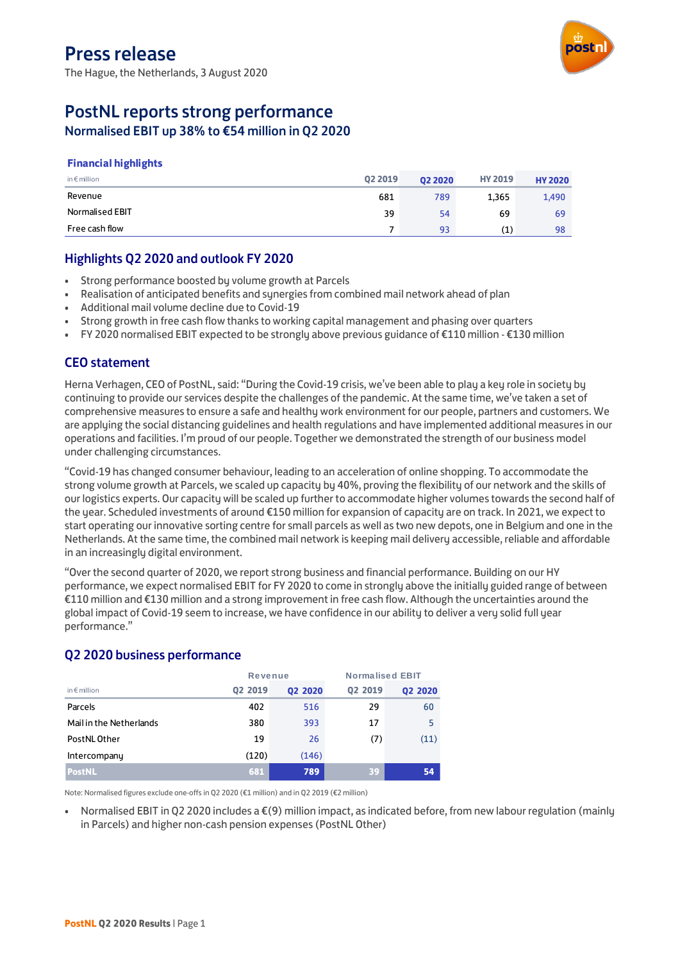The Hague, the Netherlands, 3 August 2020



# PostNL reports strong performance

Normalised EBIT up 38% to €54 million in Q2 2020

#### **Financial highlights**

| in $\epsilon$ million | 02 2019 | 02 20 20 | <b>HY 2019</b> | <b>HY 2020</b> |
|-----------------------|---------|----------|----------------|----------------|
| Revenue               | 681     | 789      | 1.365          | 1,490          |
| Normalised EBIT       | 39      | 54       | 69             | 69             |
| Free cash flow        |         | 93       | (1)            | 98             |

### Highlights Q2 2020 and outlook FY 2020

- Strong performance boosted by volume growth at Parcels
- Realisation of anticipated benefits and synergies from combined mail network ahead of plan
- Additional mail volume decline due to Covid-19
- Strong growth in free cash flow thanks to working capital management and phasing over quarters
- FY 2020 normalised EBIT expected to be strongly above previous guidance of €110 million €130 million

### CEO statement

Herna Verhagen, CEO of PostNL, said: "During the Covid-19 crisis, we've been able to play a key role in society by continuing to provide our services despite the challenges of the pandemic. At the same time, we've taken a set of comprehensive measures to ensure a safe and healthy work environment for our people, partners and customers. We are applying the social distancing guidelines and health regulations and have implemented additional measures in our operations and facilities. I'm proud of our people. Together we demonstrated the strength of our business model under challenging circumstances.

"Covid-19 has changed consumer behaviour, leading to an acceleration of online shopping. To accommodate the strong volume growth at Parcels, we scaled up capacity by 40%, proving the flexibility of our network and the skills of our logistics experts. Our capacity will be scaled up further to accommodate higher volumes towards the second half of the year. Scheduled investments of around €150 million for expansion of capacity are on track. In 2021, we expect to start operating our innovative sorting centre for small parcels as well as two new depots, one in Belgium and one in the Netherlands. At the same time, the combined mail network is keeping mail delivery accessible, reliable and affordable in an increasingly digital environment.

"Over the second quarter of 2020, we report strong business and financial performance. Building on our HY performance, we expect normalised EBIT for FY 2020 to come in strongly above the initially guided range of between €110 million and €130 million and a strong improvement in free cash flow. Although the uncertainties around the global impact of Covid-19 seem to increase, we have confidence in our ability to deliver a very solid full year performance."

### Q2 2020 business performance

|                         | Revenue        |                | <b>Normalised EBIT</b> |                |  |
|-------------------------|----------------|----------------|------------------------|----------------|--|
| in $\notin$ million     | <b>Q2 2019</b> | <b>Q2 2020</b> | <b>Q2 2019</b>         | <b>Q2 2020</b> |  |
| Parcels                 | 402            | 516            | 29                     | 60             |  |
| Mail in the Netherlands | 380            | 393            | 17                     | 5              |  |
| PostNL Other            | 19             | 26             | (7)                    | (11)           |  |
| Intercompany            | (120)          | (146)          |                        |                |  |
| <b>PostNL</b>           | 681            | 789            | 39                     | 54             |  |

Note: Normalised figures exclude one-offs in Q2 2020 (€1 million) and in Q2 2019 (€2 million)

• Normalised EBIT in Q2 2020 includes a €(9) million impact, as indicated before, from new labour regulation (mainly in Parcels) and higher non-cash pension expenses (PostNL Other)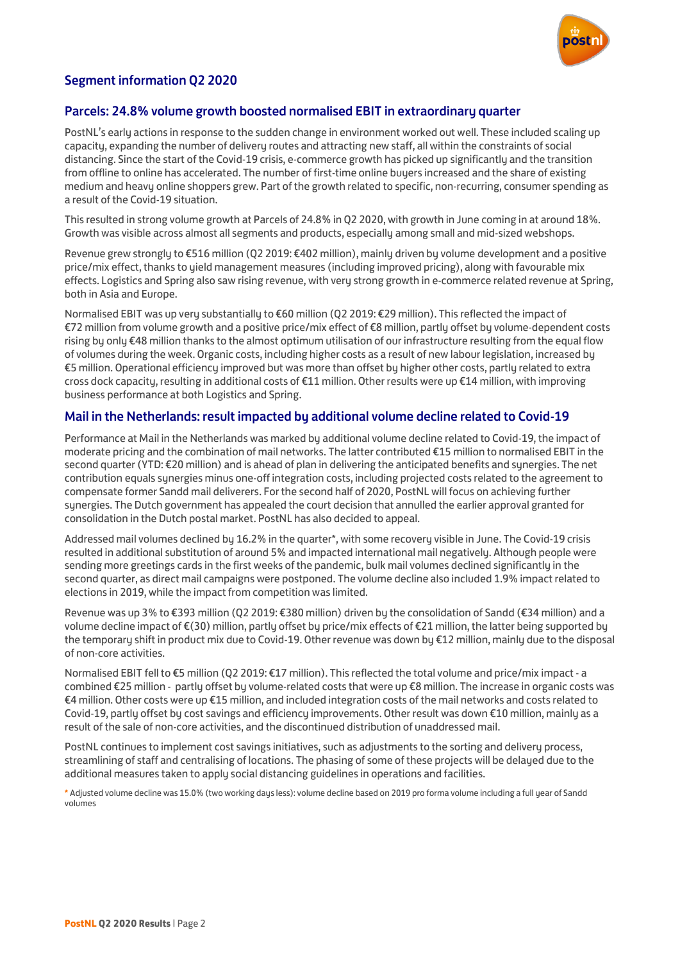

# Segment information Q2 2020

### Parcels: 24.8% volume growth boosted normalised EBIT in extraordinary quarter

PostNL's early actions in response to the sudden change in environment worked out well. These included scaling up capacity, expanding the number of delivery routes and attracting new staff, all within the constraints of social distancing. Since the start of the Covid-19 crisis, e-commerce growth has picked up significantly and the transition from offline to online has accelerated. The number of first-time online buyers increased and the share of existing medium and heavy online shoppers grew. Part of the growth related to specific, non-recurring, consumer spending as a result of the Covid-19 situation.

This resulted in strong volume growth at Parcels of 24.8% in Q2 2020, with growth in June coming in at around 18%. Growth was visible across almost all segments and products, especially among small and mid-sized webshops.

Revenue grew strongly to €516 million (Q2 2019: €402 million), mainly driven by volume development and a positive price/mix effect, thanks to yield management measures (including improved pricing), along with favourable mix effects. Logistics and Spring also saw rising revenue, with very strong growth in e-commerce related revenue at Spring, both in Asia and Europe.

Normalised EBIT was up very substantially to €60 million (Q2 2019: €29 million). This reflected the impact of €72 million from volume growth and a positive price/mix effect of €8 million, partly offset by volume-dependent costs rising by only €48 million thanks to the almost optimum utilisation of our infrastructure resulting from the equal flow of volumes during the week. Organic costs, including higher costs as a result of new labour legislation, increased by €5 million. Operational efficiency improved but was more than offset by higher other costs, partly related to extra cross dock capacity, resulting in additional costs of €11 million. Other results were up €14 million, with improving business performance at both Logistics and Spring.

### Mail in the Netherlands: result impacted by additional volume decline related to Covid-19

Performance at Mail in the Netherlands was marked by additional volume decline related to Covid-19, the impact of moderate pricing and the combination of mail networks. The latter contributed €15 million to normalised EBIT in the second quarter (YTD: €20 million) and is ahead of plan in delivering the anticipated benefits and synergies. The net contribution equals synergies minus one-off integration costs, including projected costs related to the agreement to compensate former Sandd mail deliverers. For the second half of 2020, PostNL will focus on achieving further synergies. The Dutch government has appealed the court decision that annulled the earlier approval granted for consolidation in the Dutch postal market. PostNL has also decided to appeal.

Addressed mail volumes declined by 16.2% in the quarter\*, with some recovery visible in June. The Covid-19 crisis resulted in additional substitution of around 5% and impacted international mail negatively. Although people were sending more greetings cards in the first weeks of the pandemic, bulk mail volumes declined significantly in the second quarter, as direct mail campaigns were postponed. The volume decline also included 1.9% impact related to elections in 2019, while the impact from competition was limited.

Revenue was up 3% to €393 million (Q2 2019: €380 million) driven by the consolidation of Sandd (€34 million) and a volume decline impact of €(30) million, partly offset by price/mix effects of €21 million, the latter being supported by the temporary shift in product mix due to Covid-19. Other revenue was down by €12 million, mainly due to the disposal of non-core activities.

Normalised EBIT fell to €5 million (Q2 2019: €17 million). This reflected the total volume and price/mix impact - a combined €25 million - partly offset by volume-related costs that were up €8 million. The increase in organic costs was €4 million. Other costs were up €15 million, and included integration costs of the mail networks and costs related to Covid-19, partly offset by cost savings and efficiency improvements. Other result was down €10 million, mainly as a result of the sale of non-core activities, and the discontinued distribution of unaddressed mail.

PostNL continues to implement cost savings initiatives, such as adjustments to the sorting and delivery process, streamlining of staff and centralising of locations. The phasing of some of these projects will be delayed due to the additional measures taken to apply social distancing guidelines in operations and facilities.

**\*** Adjusted volume decline was 15.0% (twoworking days less): volume decline based on 2019 pro forma volume including a full year of Sandd volumes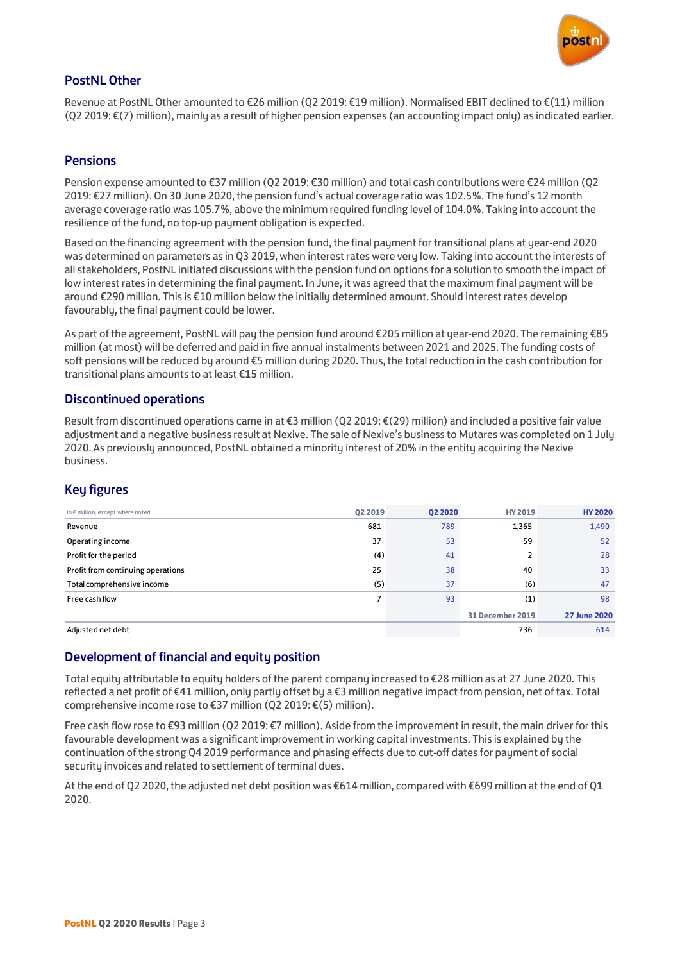

### PostNL Other

Revenue at PostNL Other amounted to €26 million (Q2 2019: €19 million). Normalised EBIT declined to €(11) million (Q2 2019: €(7) million), mainly as a result of higher pension expenses (an accounting impact only) as indicated earlier.

### **Pensions**

Pension expense amounted to €37 million (Q2 2019: €30 million) and total cash contributions were €24 million (Q2 2019: €27 million). On 30 June 2020, the pension fund's actual coverage ratio was 102.5%. The fund's 12 month average coverage ratio was 105.7%, above the minimum required funding level of 104.0%. Taking into account the resilience of the fund, no top-up payment obligation is expected.

Based on the financing agreement with the pension fund, the final payment for transitional plans at year-end 2020 was determined on parameters as in Q3 2019, when interest rates were very low. Taking into account the interests of all stakeholders, PostNL initiated discussions with the pension fund on options for a solution to smooth the impact of low interest rates in determining the final payment. In June, it was agreed that the maximum final payment will be around €290 million. This is €10 million below the initially determined amount. Should interest rates develop favourably, the final payment could be lower.

As part of the agreement, PostNL will pay the pension fund around €205 million at year-end 2020. The remaining €85 million (at most) will be deferred and paid in five annual instalments between 2021 and 2025. The funding costs of soft pensions will be reduced by around €5 million during 2020. Thus, the total reduction in the cash contribution for transitional plans amounts to at least €15 million.

#### Discontinued operations

Result from discontinued operations came in at €3 million (Q2 2019: €(29) million) and included a positive fair value adjustment and a negative business result at Nexive. The sale of Nexive's business to Mutares was completed on 1 July 2020. As previously announced, PostNL obtained a minority interest of 20% in the entity acquiring the Nexive business.

### Key figures

| <b>P</b><br>ັບ                            |         |                |                         |                     |
|-------------------------------------------|---------|----------------|-------------------------|---------------------|
| in $\epsilon$ million, except where noted | Q2 2019 | <b>Q2 2020</b> | <b>HY 2019</b>          | <b>HY 2020</b>      |
| Revenue                                   | 681     | 789            | 1,365                   | 1,490               |
| Operating income                          | 37      | 53             | 59                      | 52                  |
| Profit for the period                     | (4)     | 41             | 2                       | 28                  |
| Profit from continuing operations         | 25      | 38             | 40                      | 33                  |
| Total comprehensive income                | (5)     | 37             | (6)                     | 47                  |
| Free cash flow                            | 7       | 93             | (1)                     | 98                  |
|                                           |         |                | <b>31 December 2019</b> | <b>27 June 2020</b> |
| Adjusted net debt                         |         |                | 736                     | 614                 |

#### Development of financial and equity position

Total equity attributable to equity holders of the parent company increased to €28 million as at 27 June 2020. This reflected a net profit of €41 million, only partly offset by a €3 million negative impact from pension, net of tax. Total comprehensive income rose to €37 million (Q2 2019: €(5) million).

Free cash flow rose to €93 million (Q2 2019: €7 million). Aside from the improvement in result, the main driver for this favourable development was a significant improvement in working capital investments. This is explained by the continuation of the strong Q4 2019 performance and phasing effects due to cut-off dates for payment of social security invoices and related to settlement of terminal dues.

At the end of Q2 2020, the adjusted net debt position was €614 million, compared with €699 million at the end of Q1 2020.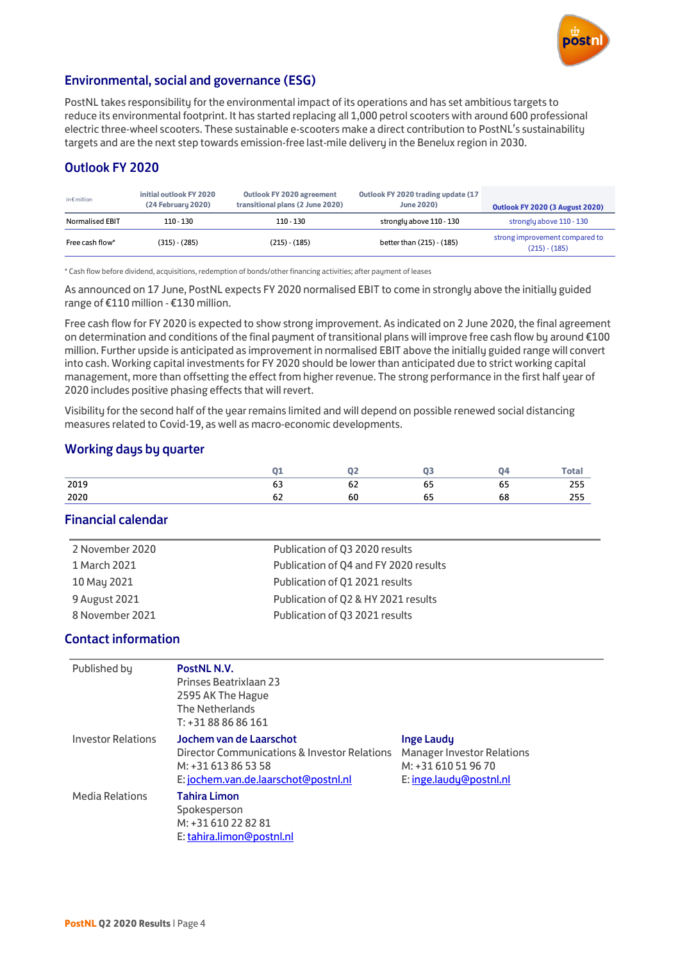

### Environmental, social and governance (ESG)

PostNL takes responsibility for the environmental impact of its operations and has set ambitious targets to reduce its environmental footprint. It has started replacing all 1,000 petrol scooters with around 600 professional electric three-wheel scooters. These sustainable e-scooters make a direct contribution to PostNL's sustainability targets and are the next step towards emission-free last-mile delivery in the Benelux region in 2030.

# Outlook FY 2020

| in $\epsilon$ million  | initial outlook FY 2020<br>(24 February 2020) | Outlook FY 2020 agreement<br>transitional plans (2 June 2020) | Outlook FY 2020 trading update (17<br><b>June 2020)</b> | <b>Outlook FY 2020 (3 August 2020)</b>            |
|------------------------|-----------------------------------------------|---------------------------------------------------------------|---------------------------------------------------------|---------------------------------------------------|
| <b>Normalised EBIT</b> | $110 - 130$                                   | $110 - 130$                                                   | strongly above 110 - 130                                | strongly above 110 - 130                          |
| Free cash flow*        | $(315) - (285)$                               | $(215) - (185)$                                               | better than (215) - (185)                               | strong improvement compared to<br>$(215) - (185)$ |

\* Cash flow before dividend, acquisitions, redemption of bonds/other financing activities; after payment of leases

As announced on 17 June, PostNL expects FY 2020 normalised EBIT to come in strongly above the initially guided range of €110 million - €130 million.

Free cash flow for FY 2020 is expected to show strong improvement. As indicated on 2 June 2020, the final agreement on determination and conditions of the final payment of transitional plans will improve free cash flow by around €100 million. Further upside is anticipated as improvement in normalised EBIT above the initially guided range will convert into cash. Working capital investments for FY 2020 should be lower than anticipated due to strict working capital management, more than offsetting the effect from higher revenue. The strong performance in the first half year of 2020 includes positive phasing effects that will revert.

Visibility for the second half of the year remains limited and will depend on possible renewed social distancing measures related to Covid-19, as well as macro-economic developments.

### Working days by quarter

|      |    |          |    |    | Total |
|------|----|----------|----|----|-------|
| 2019 | 63 | --<br>νŁ | 65 | 65 | 255   |
| 2020 | oΖ | 60       | ັ  | 68 | 255   |

### Financial calendar

| 2 November 2020 | Publication of Q3 2020 results        |
|-----------------|---------------------------------------|
| 1 March 2021    | Publication of Q4 and FY 2020 results |
| 10 May 2021     | Publication of Q1 2021 results        |
| 9 August 2021   | Publication of Q2 & HY 2021 results   |
| 8 November 2021 | Publication of Q3 2021 results        |

#### Contact information

| Published by              | PostNL N.V.<br><b>Prinses Beatrixlaan 23</b><br>2595 AK The Hague<br><b>The Netherlands</b><br>$T: +31888686161$                                  |                                                                                                          |
|---------------------------|---------------------------------------------------------------------------------------------------------------------------------------------------|----------------------------------------------------------------------------------------------------------|
| <b>Investor Relations</b> | Jochem van de Laarschot<br><b>Director Communications &amp; Investor Relations</b><br>M: +31 613 86 53 58<br>E: jochem.van.de.laarschot@postnl.nl | <b>Inge Laudy</b><br><b>Manager Investor Relations</b><br>M: +31 610 51 96 70<br>E: inge.laudu@postnl.nl |
| <b>Media Relations</b>    | <b>Tahira Limon</b><br>Spokesperson<br>M: +31 610 22 82 81<br>E: tahira.limon@postnl.nl                                                           |                                                                                                          |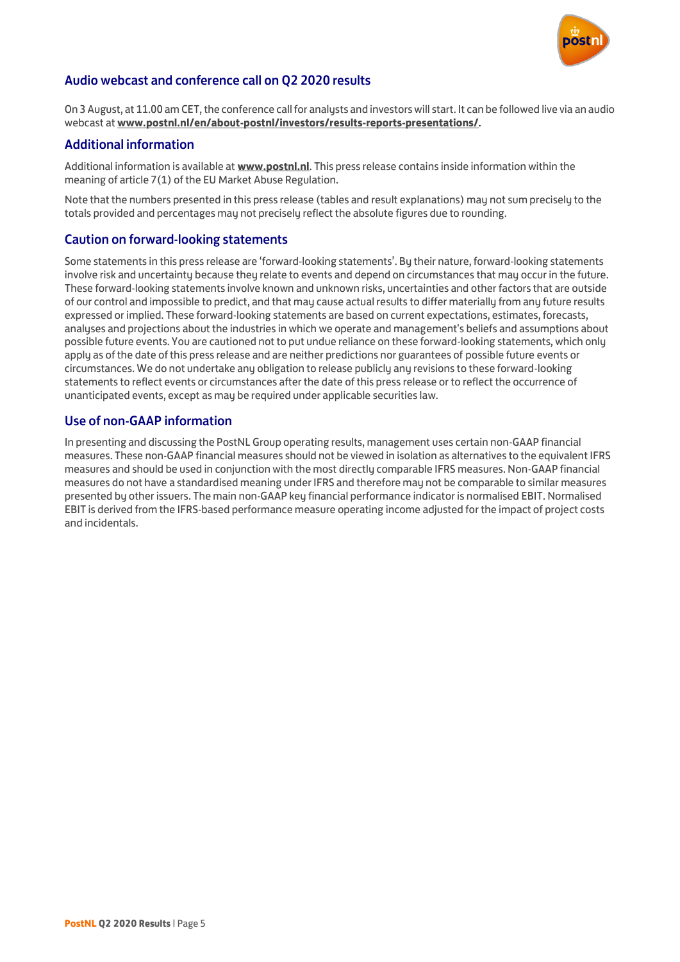

### Audio webcast and conference call on Q2 2020 results

On 3 August, at 11.00 am CET, the conference call for analysts and investors will start. It can be followed live via an audio webcast at **[www.postnl.nl/en/about-postnl/investors/results-reports-presentations/](https://postnl.sharepoint.com/sites/treasury_invest/InvestorRelations/Gedeelde%20%20documenten/EVENTS%20-%20Presentations%202020/Q1/Press%20release/www.postnl.nl/en/about-postnl/investors/results-reports-presentations)**.

### Additional information

Additional information is available at **www[.postnl.nl](http://www.postnl.nl/)**. This press release contains inside information within the meaning of article 7(1) of the EU Market Abuse Regulation.

Note that the numbers presented in this press release (tables and result explanations) may not sum precisely to the totals provided and percentages may not precisely reflect the absolute figures due to rounding.

### Caution on forward-looking statements

Some statements in this press release are 'forward-looking statements'. By their nature, forward-looking statements involve risk and uncertainty because they relate to events and depend on circumstances that may occur in the future. These forward-looking statements involve known and unknown risks, uncertainties and other factors that are outside of our control and impossible to predict, and that may cause actual results to differ materially from any future results expressed or implied. These forward-looking statements are based on current expectations, estimates, forecasts, analyses and projections about the industries in which we operate and management's beliefs and assumptions about possible future events. You are cautioned not to put undue reliance on these forward-looking statements, which only apply as of the date of this press release and are neither predictions nor guarantees of possible future events or circumstances. We do not undertake any obligation to release publicly any revisions to these forward-looking statements to reflect events or circumstances after the date of this press release or to reflect the occurrence of unanticipated events, except as may be required under applicable securities law.

### Use of non-GAAP information

In presenting and discussing the PostNL Group operating results, management uses certain non-GAAP financial measures. These non-GAAP financial measures should not be viewed in isolation as alternatives to the equivalent IFRS measures and should be used in conjunction with the most directly comparable IFRS measures. Non-GAAP financial measures do not have a standardised meaning under IFRS and therefore may not be comparable to similar measures presented by other issuers. The main non-GAAP key financial performance indicator is normalised EBIT. Normalised EBIT is derived from the IFRS-based performance measure operating income adjusted for the impact of project costs and incidentals.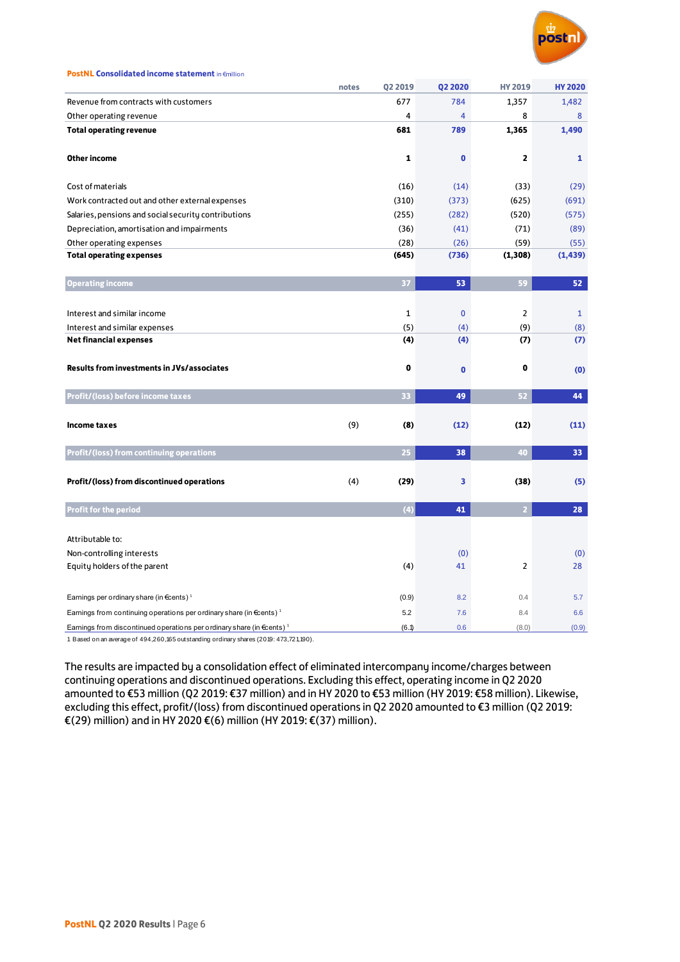

| <b>PostNL Consolidated income statement in €million</b> |  |
|---------------------------------------------------------|--|
|---------------------------------------------------------|--|

|                                                                                           | notes | Q2 2019      | <b>Q2 2020</b> | <b>HY 2019</b> | <b>HY 2020</b> |
|-------------------------------------------------------------------------------------------|-------|--------------|----------------|----------------|----------------|
| Revenue from contracts with customers                                                     |       | 677          | 784            | 1,357          | 1,482          |
| Other operating revenue                                                                   |       | 4            | $\overline{4}$ | 8              | 8              |
| <b>Total operating revenue</b>                                                            |       | 681          | 789            | 1,365          | 1,490          |
| Other income                                                                              |       | 1            | $\bf{0}$       | $\overline{2}$ | 1              |
| Cost of materials                                                                         |       | (16)         | (14)           | (33)           | (29)           |
| Work contracted out and other external expenses                                           |       | (310)        | (373)          | (625)          | (691)          |
| Salaries, pensions and social security contributions                                      |       | (255)        | (282)          | (520)          | (575)          |
| Depreciation, amortisation and impairments                                                |       | (36)         | (41)           | (71)           | (89)           |
| Other operating expenses                                                                  |       | (28)         | (26)           | (59)           | (55)           |
| <b>Total operating expenses</b>                                                           |       | (645)        | (736)          | (1, 308)       | (1, 439)       |
| <b>Operating income</b>                                                                   |       | 37           | 53             | 59             | 52             |
| Interest and similar income                                                               |       | $\mathbf{1}$ | $\mathbf{0}$   | $\overline{2}$ | $\mathbf{1}$   |
| Interest and similar expenses                                                             |       | (5)          | (4)            | (9)            | (8)            |
| <b>Net financial expenses</b>                                                             |       | (4)          | (4)            | (7)            | (7)            |
| <b>Results from investments in JVs/associates</b>                                         |       | 0            | $\bf{0}$       | 0              | (0)            |
| Profit/(loss) before income taxes                                                         |       | 33           | 49             | 52             | 44             |
| <b>Income taxes</b>                                                                       | (9)   | (8)          | (12)           | (12)           | (11)           |
| Profit/(loss) from continuing operations                                                  |       | 25           | 38             | 40             | 33             |
| Profit/(loss) from discontinued operations                                                | (4)   | (29)         | 3              | (38)           | (5)            |
| <b>Profit for the period</b>                                                              |       | (4)          | 41             | 2 <sup>1</sup> | 28             |
| Attributable to:                                                                          |       |              |                |                |                |
| Non-controlling interests                                                                 |       |              | (0)            |                | (0)            |
| Equity holders of the parent                                                              |       | (4)          | 41             | $\overline{2}$ | 28             |
| Earnings per ordinary share (in €cents) <sup>1</sup>                                      |       | (0.9)        | 8.2            | 0.4            | 5.7            |
| Earnings from continuing operations per ordinary share (in $\epsilon$ cents) <sup>1</sup> |       | 5.2          | 7.6            | 8.4            | 6.6            |
| Earnings from discontinued operations per ordinary share (in €cents) <sup>1</sup>         |       | (6.1)        | 0.6            | (8.0)          | (0.9)          |

1 Based on an average of 494,260,165 outstanding ordinary shares (2019: 473,721,190).

The results are impacted by a consolidation effect of eliminated intercompany income/charges between continuing operations and discontinued operations. Excluding this effect, operating income in Q2 2020 amounted to €53 million (Q2 2019: €37 million) and in HY 2020 to €53 million (HY 2019: €58 million). Likewise, excluding this effect, profit/(loss) from discontinued operations in Q2 2020 amounted to €3 million (Q2 2019: €(29) million) and in HY 2020 €(6) million (HY 2019: €(37) million).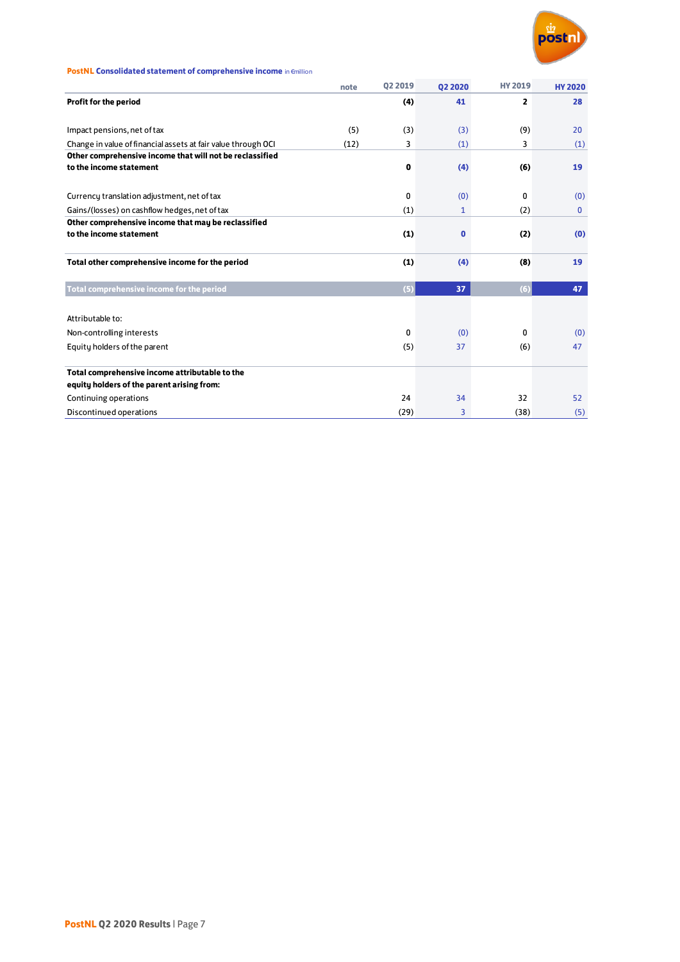

#### **PostNL Consolidated statement of comprehensive income** in  $\epsilon$ million

|                                                               | note | <b>Q2 2019</b> | <b>Q2 2020</b> | <b>HY 2019</b> | <b>HY 2020</b> |
|---------------------------------------------------------------|------|----------------|----------------|----------------|----------------|
| Profit for the period                                         |      | (4)            | 41             | $\overline{2}$ | 28             |
|                                                               |      |                |                |                |                |
| Impact pensions, net of tax                                   | (5)  | (3)            | (3)            | (9)            | 20             |
| Change in value of financial assets at fair value through OCI | (12) | 3              | (1)            | 3              | (1)            |
| Other comprehensive income that will not be reclassified      |      |                |                |                |                |
| to the income statement                                       |      | 0              | (4)            | (6)            | 19             |
| Currency translation adjustment, net of tax                   |      | 0              | (0)            | 0              | (0)            |
| Gains/(losses) on cashflow hedges, net of tax                 |      | (1)            | $\mathbf{1}$   | (2)            | 0              |
| Other comprehensive income that may be reclassified           |      |                |                |                |                |
| to the income statement                                       |      | (1)            | $\bf{0}$       | (2)            | (0)            |
|                                                               |      |                |                |                |                |
| Total other comprehensive income for the period               |      | (1)            | (4)            | (8)            | 19             |
|                                                               |      |                |                |                |                |
| Total comprehensive income for the period                     |      | (5)            | 37             | (6)            | 47             |
|                                                               |      |                |                |                |                |
| Attributable to:                                              |      |                |                |                |                |
| Non-controlling interests                                     |      | 0              | (0)            | $\Omega$       | (0)            |
| Equity holders of the parent                                  |      | (5)            | 37             | (6)            | 47             |
| Total comprehensive income attributable to the                |      |                |                |                |                |
| equity holders of the parent arising from:                    |      |                |                |                |                |
| Continuing operations                                         |      | 24             | 34             | 32             | 52             |
| Discontinued operations                                       |      | (29)           | 3              | (38)           | (5)            |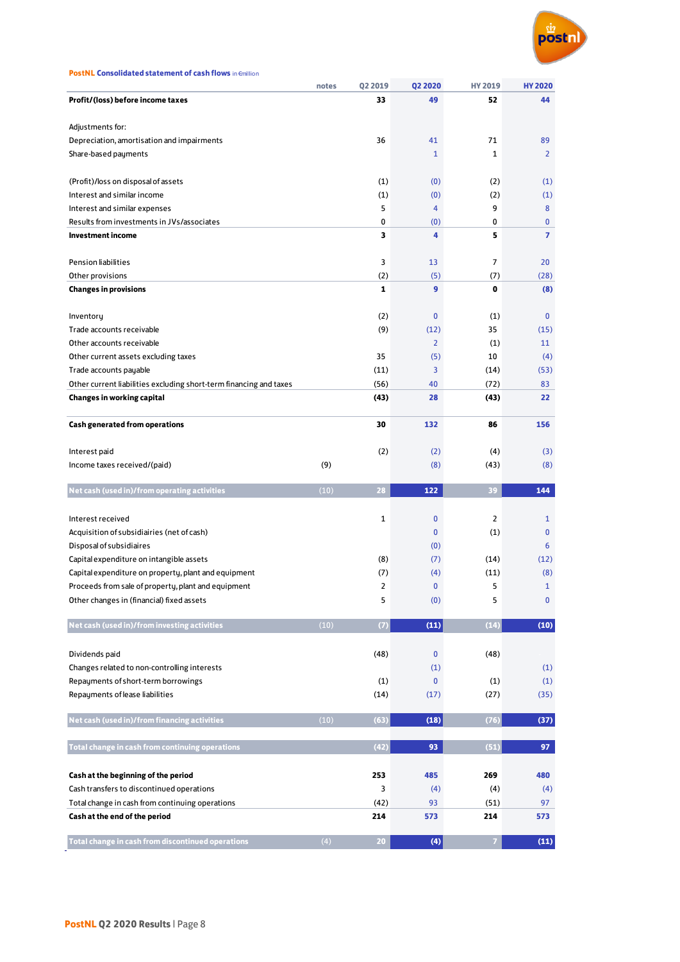

**notes Q2 2019 Q2 2020 HY 2019 HY 2020**

| PIUIIU (1055) DEIUIE IIICUIIIE LAXES                               |      | 33       |                | ж              |                     |
|--------------------------------------------------------------------|------|----------|----------------|----------------|---------------------|
| Adjustments for:                                                   |      |          |                |                |                     |
| Depreciation, amortisation and impairments                         |      | 36       | 41             | 71             | 89                  |
| Share-based payments                                               |      |          | 1              | 1              | $\overline{2}$      |
|                                                                    |      |          |                |                |                     |
| (Profit)/loss on disposal of assets                                |      | (1)      | (0)            | (2)            | (1)                 |
| Interest and similar income                                        |      | (1)      | (0)            | (2)            | (1)                 |
| Interest and similar expenses                                      |      | 5        | 4              | 9              | 8                   |
| Results from investments in JVs/associates                         |      | 0        | (0)            | 0              | 0                   |
| <b>Investment income</b>                                           |      | 3        | 4              | 5              | $\overline{ }$      |
|                                                                    |      |          |                |                |                     |
| Pension liabilities                                                |      | 3        | 13             | 7              | 20                  |
| Other provisions                                                   |      | (2)      | (5)            | (7)            | (28)                |
| <b>Changes in provisions</b>                                       |      | 1        | 9              | 0              | (8)                 |
|                                                                    |      |          |                |                |                     |
| Inventory                                                          |      | (2)      | $\bf{0}$       | (1)            | $\mathbf{0}$        |
| Trade accounts receivable                                          |      | (9)      | (12)           | 35             | (15)                |
| Other accounts receivable                                          |      |          | $\overline{2}$ | (1)            | 11                  |
| Other current assets excluding taxes                               |      | 35       | (5)            | 10             | (4)                 |
| Trade accounts payable                                             |      | (11)     | 3              | (14)           | (53)                |
| Other current liabilities excluding short-term financing and taxes |      | (56)     | 40             | (72)           | 83                  |
| <b>Changes in working capital</b>                                  |      | (43)     | 28             | (43)           | 22                  |
|                                                                    |      |          |                |                |                     |
| <b>Cash generated from operations</b>                              |      | 30       | 132            | 86             | 156                 |
|                                                                    |      |          |                |                |                     |
| Interest paid                                                      |      | (2)      | (2)            | (4)            | (3)                 |
| Income taxes received/(paid)                                       | (9)  |          | (8)            | (43)           | (8)                 |
|                                                                    |      |          |                |                |                     |
|                                                                    |      |          |                |                |                     |
| Net cash (used in)/from operating activities                       | (10) | 28       | 122            | 39             | 144                 |
|                                                                    |      |          |                |                |                     |
| Interest received                                                  |      | 1        | 0              | $\overline{2}$ | $\mathbf{1}$        |
| Acquisition of subsidiairies (net of cash)                         |      |          | 0              | (1)            | 0                   |
| Disposal of subsidiaires                                           |      |          | (0)            |                | 6                   |
| Capital expenditure on intangible assets                           |      | (8)      | (7)            | (14)           | (12)                |
| Capital expenditure on property, plant and equipment               |      | (7)<br>2 | (4)<br>0       | (11)<br>5      | (8)<br>$\mathbf{1}$ |
| Proceeds from sale of property, plant and equipment                |      |          |                |                |                     |
| Other changes in (financial) fixed assets                          |      | 5        | (0)            | 5              | 0                   |
| Net cash (used in)/from investing activities                       | (10) | (7)      | (11)           | (14)           | (10)                |
|                                                                    |      |          |                |                |                     |
| Dividends paid                                                     |      | (48)     | 0              | (48)           |                     |
| Changes related to non-controlling interests                       |      |          | (1)            |                | (1)                 |
| Repayments of short-term borrowings                                |      | (1)      | $\mathbf{0}$   | (1)            | (1)                 |
| Repayments of lease liabilities                                    |      | (14)     | (17)           | (27)           | (35)                |
|                                                                    |      |          |                |                |                     |
| Net cash (used in)/from financing activities                       | (10) | (63)     | (18)           | (76)           | (37)                |
|                                                                    |      |          |                |                |                     |
| Total change in cash from continuing operations                    |      | (42)     | 93             | (51)           | 97                  |
|                                                                    |      |          |                |                |                     |
| Cash at the beginning of the period                                |      | 253      | 485            | 269            | 480                 |
| Cash transfers to discontinued operations                          |      | 3        | (4)            | (4)            | (4)                 |
| Total change in cash from continuing operations                    |      | (42)     | 93             | (51)           | 97                  |
| Cash at the end of the period                                      |      | 214      | 573            | 214            | 573                 |
| Total change in cash from discontinued operations                  | (4)  | 20       | (4)            | $\overline{7}$ | (11)                |

**Profit/(loss) before income taxes** 44 **52** 44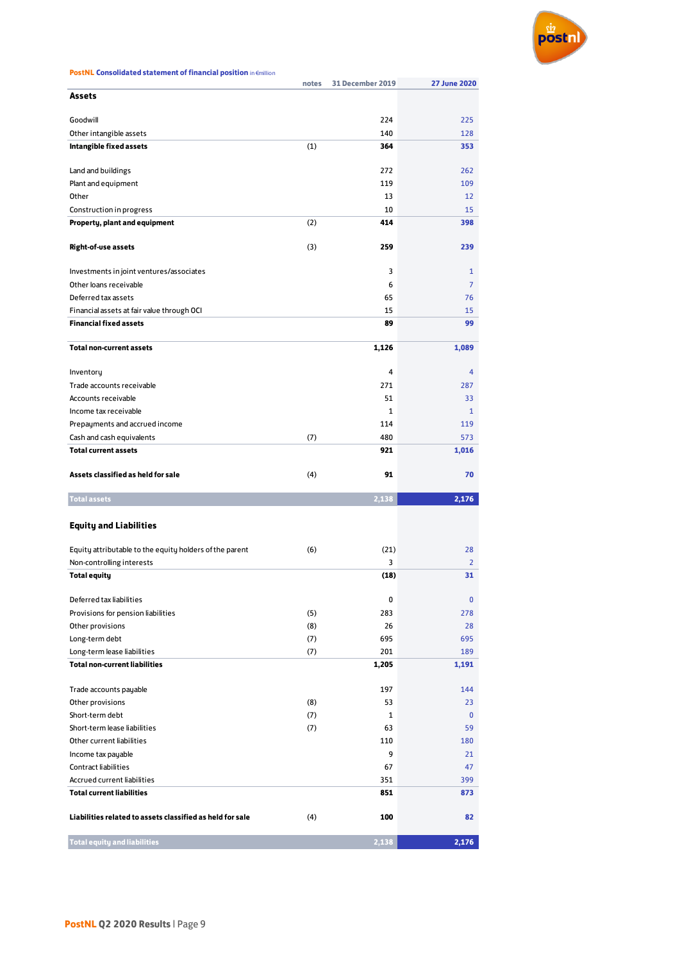

| <b>PostNL Consolidated statement of financial position in Emillion</b> |  |
|------------------------------------------------------------------------|--|
|------------------------------------------------------------------------|--|

|                                                           | notes | <b>31 December 2019</b> | <b>27 June 2020</b> |
|-----------------------------------------------------------|-------|-------------------------|---------------------|
| Assets                                                    |       |                         |                     |
|                                                           |       |                         |                     |
| Goodwill                                                  |       | 224                     | 225                 |
| Other intangible assets                                   |       | 140                     | 128                 |
| Intangible fixed assets                                   | (1)   | 364                     | 353                 |
| Land and buildings                                        |       | 272                     | 262                 |
| Plant and equipment                                       |       | 119                     | 109                 |
| Other                                                     |       | 13                      | 12                  |
| Construction in progress                                  |       | 10                      | 15                  |
| Property, plant and equipment                             | (2)   | 414                     | 398                 |
|                                                           |       |                         |                     |
| <b>Right-of-use assets</b>                                | (3)   | 259                     | 239                 |
|                                                           |       |                         |                     |
| Investments in joint ventures/associates                  |       | 3                       | 1                   |
| Other loans receivable                                    |       | 6                       | 7                   |
| Deferred tax assets                                       |       | 65                      | 76                  |
| Financial assets at fair value through OCI                |       | 15                      | 15                  |
| <b>Financial fixed assets</b>                             |       | 89                      | 99                  |
|                                                           |       |                         |                     |
| <b>Total non-current assets</b>                           |       | 1,126                   | 1,089               |
| Inventory                                                 |       | 4                       | 4                   |
| Trade accounts receivable                                 |       | 271                     | 287                 |
| Accounts receivable                                       |       | 51                      | 33                  |
| Income tax receivable                                     |       | $\mathbf{1}$            | 1                   |
| Prepayments and accrued income                            |       | 114                     | 119                 |
| Cash and cash equivalents                                 | (7)   | 480                     | 573                 |
| <b>Total current assets</b>                               |       | 921                     | 1,016               |
|                                                           |       |                         |                     |
|                                                           |       |                         |                     |
| Assets classified as held for sale                        | (4)   | 91                      | 70                  |
|                                                           |       |                         |                     |
| <b>Total assets</b>                                       |       | 2,138                   | 2,176               |
|                                                           |       |                         |                     |
| <b>Equity and Liabilities</b>                             |       |                         |                     |
|                                                           |       |                         |                     |
| Equity attributable to the equity holders of the parent   | (6)   | (21)                    | 28                  |
| Non-controlling interests                                 |       | 3                       | 2<br>31             |
| <b>Total equity</b>                                       |       | (18)                    |                     |
| Deferred tax liabilities                                  |       | 0                       | $\bf{0}$            |
| Provisions for pension liabilities                        | (5)   | 283                     | 278                 |
| Other provisions                                          | (8)   | 26                      | 28                  |
| Long-term debt                                            | (7)   | 695                     | 695                 |
| Long-term lease liabilities                               | (7)   | 201                     | 189                 |
| <b>Total non-current liabilities</b>                      |       | 1,205                   | 1,191               |
|                                                           |       |                         |                     |
| Trade accounts payable                                    |       | 197                     | 144                 |
| Other provisions                                          | (8)   | 53                      | 23                  |
| Short-term debt                                           | (7)   | 1                       | $\mathbf{0}$        |
| Short-term lease liabilities                              | (7)   | 63                      | 59                  |
| Other current liabilities                                 |       | 110                     | 180                 |
| Income tax payable                                        |       | 9                       | 21                  |
| <b>Contract liabilities</b>                               |       | 67                      | 47                  |
| Accrued current liabilities                               |       | 351                     | 399                 |
| <b>Total current liabilities</b>                          |       | 851                     | 873                 |
|                                                           |       |                         |                     |
| Liabilities related to assets classified as held for sale | (4)   | 100                     | 82                  |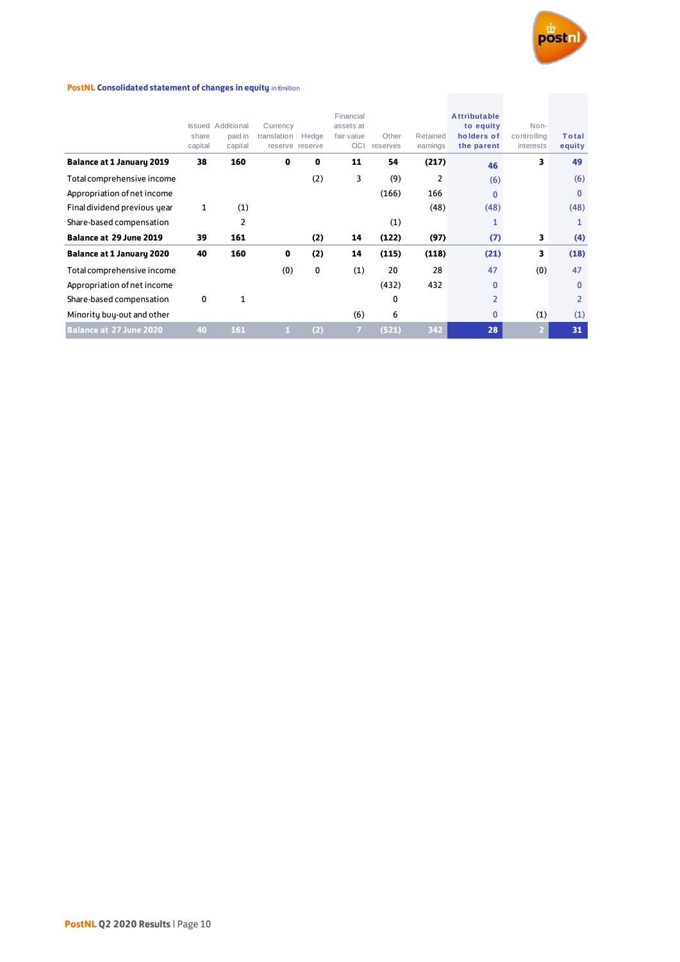

#### **PostNL Consolidated statement of changes in equity in €million**

| <b>PostNL Consolidated statement of changes in equity in €million</b> |                  |                                                |                         |                          |                                             |                   |                      |                                                              |                                  |                        |
|-----------------------------------------------------------------------|------------------|------------------------------------------------|-------------------------|--------------------------|---------------------------------------------|-------------------|----------------------|--------------------------------------------------------------|----------------------------------|------------------------|
|                                                                       | share<br>capital | <b>Issued</b> Additional<br>paid in<br>capital | Currency<br>translation | Hedge<br>reserve reserve | Financial<br>assets at<br>fair value<br>OCI | Other<br>reserves | Retained<br>earnings | <b>Attributable</b><br>to equity<br>holders of<br>the parent | Non-<br>controlling<br>interests | <b>Total</b><br>equity |
| <b>Balance at 1 January 2019</b>                                      | 38               | 160                                            | $\mathbf{0}$            | 0                        | 11                                          | 54                | (217)                | 46                                                           | 3                                | 49                     |
| Total comprehensive income                                            |                  |                                                |                         | (2)                      | 3                                           | (9)               | 2                    | (6)                                                          |                                  | (6)                    |
| Appropriation of net income                                           |                  |                                                |                         |                          |                                             | (166)             | 166                  | $\mathbf{0}$                                                 |                                  | $\mathbf{0}$           |
| Final dividend previous year                                          | 1                | (1)                                            |                         |                          |                                             |                   | (48)                 | (48)                                                         |                                  | (48)                   |
| Share-based compensation                                              |                  | 2                                              |                         |                          |                                             | (1)               |                      | 1                                                            |                                  | 1                      |
| <b>Balance at 29 June 2019</b>                                        | 39               | 161                                            |                         | (2)                      | 14                                          | (122)             | (97)                 | (7)                                                          | 3                                | (4)                    |
| <b>Balance at 1 January 2020</b>                                      | 40               | 160                                            | $\mathbf{0}$            | (2)                      | 14                                          | (115)             | (118)                | (21)                                                         | 3                                | (18)                   |
| Total comprehensive income                                            |                  |                                                | (0)                     | 0                        | (1)                                         | 20                | 28                   | 47                                                           | (0)                              | 47                     |
| Appropriation of net income                                           |                  |                                                |                         |                          |                                             | (432)             | 432                  | $\mathbf{0}$                                                 |                                  | $\mathbf{0}$           |
| Share-based compensation                                              | 0                | 1                                              |                         |                          |                                             | 0                 |                      | 2                                                            |                                  | 2                      |
| Minority buy-out and other                                            |                  |                                                |                         |                          | (6)                                         | 6                 |                      | $\mathbf{0}$                                                 | (1)                              | (1)                    |
| <b>Balance at 27 June 2020</b>                                        | 40               | 161                                            | 1                       | (2)                      | $\overline{7}$                              | (521)             | 342                  | 28                                                           | $\overline{2}$                   | 31                     |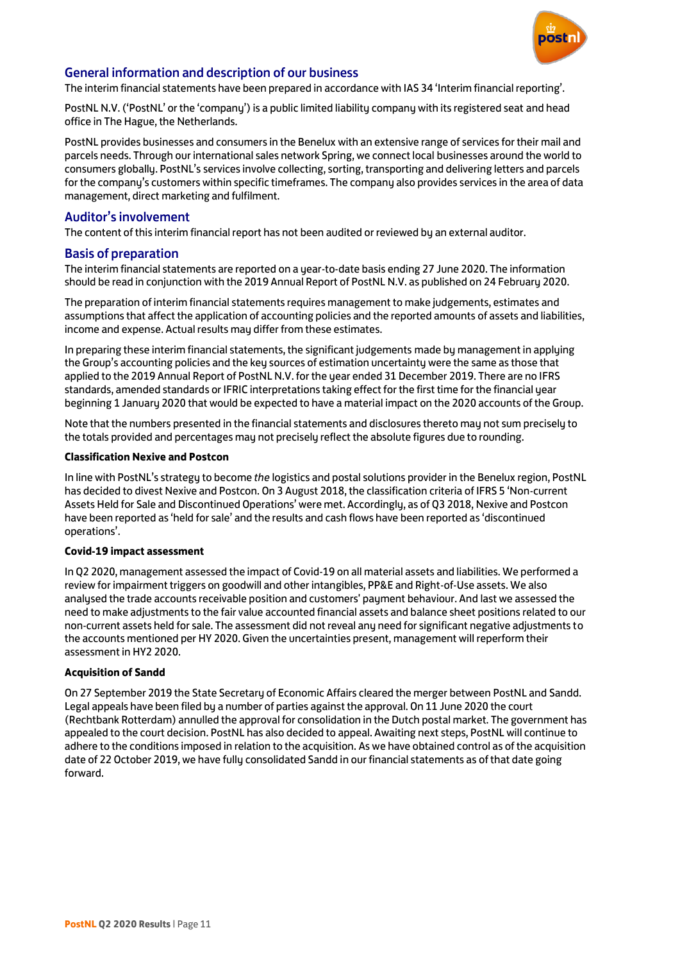

### General information and description of our business

The interim financial statements have been prepared in accordance with IAS 34 'Interim financial reporting'.

PostNL N.V. ('PostNL' or the 'company') is a public limited liability company with its registered seat and head office in The Hague, the Netherlands.

PostNL provides businesses and consumers in the Benelux with an extensive range of services for their mail and parcels needs. Through our international sales network Spring, we connect local businesses around the world to consumers globally. PostNL's services involve collecting, sorting, transporting and delivering letters and parcels for the company's customers within specific timeframes. The company also provides services in the area of data management, direct marketing and fulfilment.

#### Auditor's involvement

The content of this interim financial report has not been audited or reviewed by an external auditor.

#### Basis of preparation

The interim financial statements are reported on a year-to-date basis ending 27 June 2020. The information should be read in conjunction with the 2019 Annual Report of PostNL N.V. as published on 24 February 2020.

The preparation of interim financial statements requires management to make judgements, estimates and assumptions that affect the application of accounting policies and the reported amounts of assets and liabilities, income and expense. Actual results may differ from these estimates.

In preparing these interim financial statements, the significant judgements made by management in applying the Group's accounting policies and the key sources of estimation uncertainty were the same as those that applied to the 2019 Annual Report of PostNL N.V. for the year ended 31 December 2019. There are no IFRS standards, amended standards or IFRIC interpretations taking effect for the first time for the financial year beginning 1 January 2020 that would be expected to have a material impact on the 2020 accounts of the Group.

Note that the numbers presented in the financial statements and disclosures thereto may not sum precisely to the totals provided and percentages may not precisely reflect the absolute figures due to rounding.

#### **Classification Nexive and Postcon**

In line with PostNL's strategy to become *the* logistics and postal solutions provider in the Benelux region, PostNL has decided to divest Nexive and Postcon. On 3 August 2018, the classification criteria of IFRS 5 'Non-current Assets Held for Sale and Discontinued Operations' were met. Accordingly, as of Q3 2018, Nexive and Postcon have been reported as 'held for sale' and the results and cash flows have been reported as 'discontinued operations'.

#### **Covid-19 impact assessment**

In Q2 2020, management assessed the impact of Covid-19 on all material assets and liabilities. We performed a review for impairment triggers on goodwill and other intangibles, PP&E and Right-of-Use assets. We also analysed the trade accounts receivable position and customers' payment behaviour. And last we assessed the need to make adjustments to the fair value accounted financial assets and balance sheet positions related to our non-current assets held for sale. The assessment did not reveal any need for significant negative adjustments to the accounts mentioned per HY 2020. Given the uncertainties present, management will reperform their assessment in HY2 2020.

#### **Acquisition of Sandd**

On 27 September 2019 the State Secretary of Economic Affairs cleared the merger between PostNL and Sandd. Legal appeals have been filed by a number of parties against the approval. On 11 June 2020 the court (Rechtbank Rotterdam) annulled the approval for consolidation in the Dutch postal market. The government has appealed to the court decision. PostNL has also decided to appeal. Awaiting next steps, PostNL will continue to adhere to the conditions imposed in relation to the acquisition. As we have obtained control as of the acquisition date of 22 October 2019, we have fully consolidated Sandd in our financial statements as of that date going forward.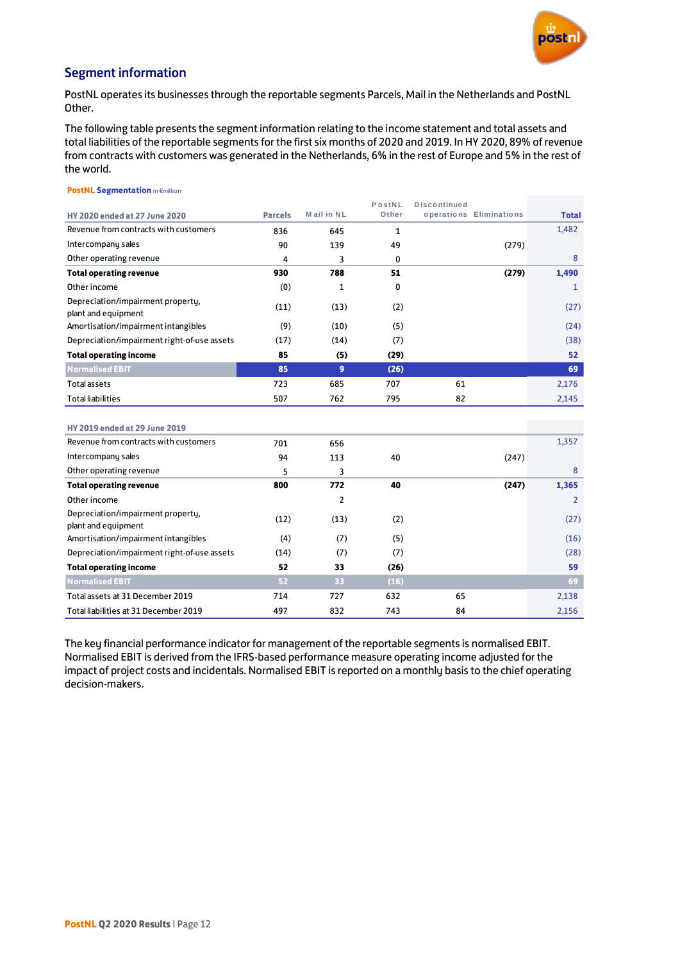

### Segment information

PostNL operates its businesses through the reportable segments Parcels, Mail in the Netherlands and PostNL Other.

The following table presents the segment information relating to the income statement and total assets and total liabilities of the reportable segments for the first six months of 2020 and 2019. In HY 2020, 89% of revenue from contracts with customers was generated in the Netherlands, 6% in the rest of Europe and 5% in the rest of the world.

#### **PostNL Segmentation** in €million **HY 2020 ended at 27 June 2020 Parcels M ail in N L P o stN L Other D isco ntinued o peratio ns Eliminatio ns Total** Revenue from contracts with customers 636 836 645 1 PostNL Discontinued<br>
Intercompany sales Mail in NL PostNL Discontinued<br>
Intercompany sales 1<br>
Other operating revenue 1,4<br>
Other operating revenue 1,4<br>
Other operating revenue 4 3 0 Other operating revenue and the contract of the contract of the contract of the contract of the contract of the contract of the contract of the contract of the contract of the contract of the contract of the contract of th **Total operating revenue 930 788 51 (279) 1,490** Other income  $(0)$  and  $1$  0  $(1)$   $(1)$   $(2)$   $(3)$   $(4)$   $(5)$   $(7)$   $(8)$   $(9)$   $(1)$   $(1)$   $(1)$   $(1)$   $(1)$   $(1)$   $(1)$   $(1)$   $(1)$   $(1)$   $(1)$   $(1)$   $(1)$   $(1)$   $(1)$   $(1)$   $(1)$   $(1)$   $(1)$   $(1)$   $(1)$   $(1)$   $(1)$  Depreciation/impairment property, plant and equipment (11)  $(13)$   $(2)$   $(27)$ Amortisation/impairment intangibles (9) (10) (5) (24) (24) Depreciation/impairment right-of-use assets (17) (14) (7) (38) **Total operating income 85** (5) (29) 52 **Normalised EBIT 85 9 (26) 69** Total assets 723 685 707 6 1 2,176 Total operating income<br>
Normalised EBIT<br>
Total liabilities Total liabilities 507 762 795 82 2,145<br>
Total liabilities 507 762 795 82 2,145

| <b>HY 2019 ended at 29 June 2019</b>                     |      |      |      |       |       |
|----------------------------------------------------------|------|------|------|-------|-------|
| Revenue from contracts with customers                    | 701  | 656  |      |       | 1,357 |
| Intercompany sales                                       | 94   | 113  | 40   | (247) |       |
| Other operating revenue                                  | 5    | 3    |      |       | 8     |
| <b>Total operating revenue</b>                           | 800  | 772  | 40   | (247) | 1,365 |
| Other income                                             |      | 2    |      |       | 2     |
| Depreciation/impairment property,<br>plant and equipment | (12) | (13) | (2)  |       | (27)  |
| Amortisation/impairment intangibles                      | (4)  | (7)  | (5)  |       | (16)  |
| Depreciation/impairment right-of-use assets              | (14) | (7)  | (7)  |       | (28)  |
| <b>Total operating income</b>                            | 52   | 33   | (26) |       | 59    |
| <b>Normalised EBIT</b>                                   | 52   | 33   | (16) |       | 69    |
| Total assets at 31 December 2019                         | 714  | 727  | 632  | 65    | 2,138 |
| Total liabilities at 31 December 2019                    | 497  | 832  | 743  | 84    | 2,156 |

The key financial performance indicator for management of the reportable segments is normalised EBIT. Normalised EBIT is derived from the IFRS-based performance measure operating income adjusted for the impact of project costs and incidentals. Normalised EBIT is reported on a monthly basis to the chief operating decision-makers.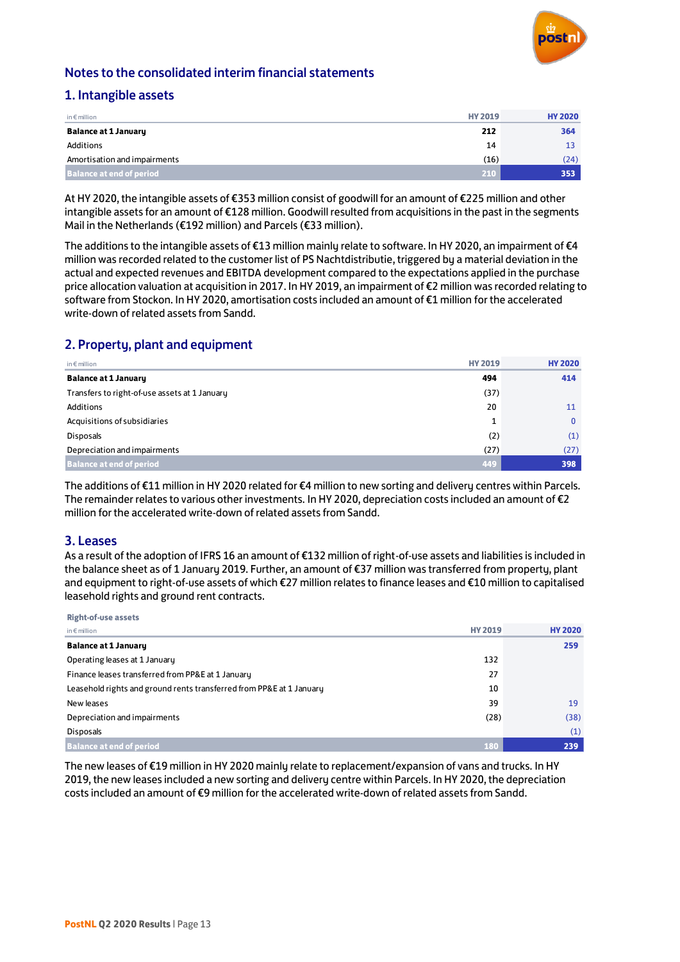

### Notes to the consolidated interim financial statements

### 1. Intangible assets

| in $\epsilon$ million           | <b>HY 2019</b> | <b>HY 2020</b> |
|---------------------------------|----------------|----------------|
| <b>Balance at 1 January</b>     | 212            | 364            |
| Additions                       | 14             |                |
| Amortisation and impairments    | (16)           | (24)           |
| <b>Balance at end of period</b> | 210            | 353            |

At HY 2020, the intangible assets of €353 million consist of goodwill for an amount of €225 million and other intangible assets for an amount of €128 million. Goodwill resulted from acquisitions in the past in the segments Mail in the Netherlands (€192 million) and Parcels (€33 million).

The additions to the intangible assets of €13 million mainly relate to software. In HY 2020, an impairment of €4 million was recorded related to the customer list of PS Nachtdistributie, triggered by a material deviation in the actual and expected revenues and EBITDA development compared to the expectations applied in the purchase price allocation valuation at acquisition in 2017. In HY 2019, an impairment of €2 million was recorded relating to software from Stockon. In HY 2020, amortisation costs included an amount of €1 million for the accelerated write-down of related assets from Sandd.

### 2. Property, plant and equipment

| in $\epsilon$ million                         | <b>HY 2019</b> | <b>HY 2020</b> |
|-----------------------------------------------|----------------|----------------|
| <b>Balance at 1 January</b>                   | 494            | 414            |
| Transfers to right-of-use assets at 1 January | (37)           |                |
| Additions                                     | 20             | 11             |
| Acquisitions of subsidiaries                  | ᆠ              | 0              |
| <b>Disposals</b>                              | (2)            | (1)            |
| Depreciation and impairments                  | (27)           | (27)           |
| <b>Balance at end of period</b>               | 449            | 398            |

The additions of €11 million in HY 2020 related for €4 million to new sorting and delivery centres within Parcels. The remainder relates to various other investments. In HY 2020, depreciation costs included an amount of €2 million for the accelerated write-down of related assets from Sandd.

### 3. Leases

As a result of the adoption of IFRS 16 an amount of €132 million of right-of-use assets and liabilities is included in the balance sheet as of 1 January 2019. Further, an amount of €37 million was transferred from property, plant and equipment to right-of-use assets of which €27 million relates to finance leases and €10 million to capitalised leasehold rights and ground rent contracts.

| <b>Right-of-use assets</b>                                           |                |                |
|----------------------------------------------------------------------|----------------|----------------|
| in $\notin$ million                                                  | <b>HY 2019</b> | <b>HY 2020</b> |
| <b>Balance at 1 January</b>                                          |                | 259            |
| Operating leases at 1 January                                        | 132            |                |
| Finance leases transferred from PP&E at 1 January                    | 27             |                |
| Leasehold rights and ground rents transferred from PP&E at 1 January | 10             |                |
| New leases                                                           | 39             | 19             |
| Depreciation and impairments                                         | (28)           | (38)           |
| <b>Disposals</b>                                                     |                | (1)            |
| <b>Balance at end of period</b>                                      | 180            | 239            |

The new leases of €19 million in HY 2020 mainly relate to replacement/expansion of vans and trucks. In HY 2019, the new leases included a new sorting and delivery centre within Parcels. In HY 2020, the depreciation costs included an amount of €9 million for the accelerated write-down of related assets from Sandd.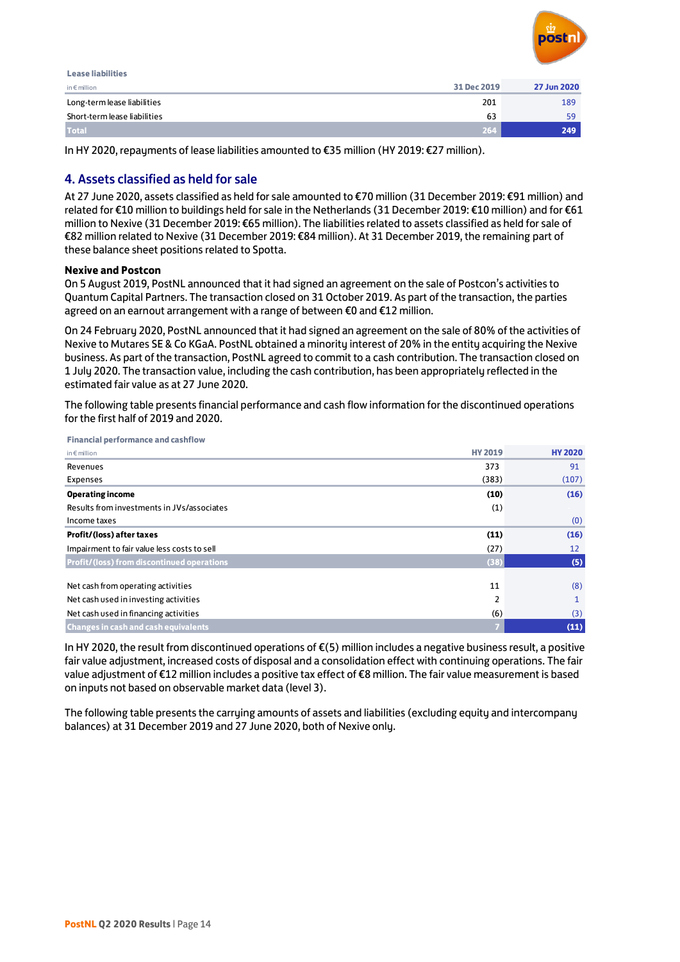

| <b>Lease liabilities</b>     |             |             |
|------------------------------|-------------|-------------|
| in $\epsilon$ million        | 31 Dec 2019 | 27 Jun 2020 |
| Long-term lease liabilities  | 201         | 189         |
| Short-term lease liabilities | 63          | 59          |
| <b>Total</b>                 | 264         | 249         |

In HY 2020, repayments of lease liabilities amounted to €35 million (HY 2019: €27 million).

### 4. Assets classified as held for sale

At 27 June 2020, assets classified as held for sale amounted to €70 million (31 December 2019: €91 million) and related for €10 million to buildings held for sale in the Netherlands (31 December 2019: €10 million) and for €61 million to Nexive (31 December 2019: €65 million). The liabilities related to assets classified as held for sale of €82 million related to Nexive (31 December 2019: €84 million). At 31 December 2019, the remaining part of these balance sheet positions related to Spotta.

#### **Nexive and Postcon**

On 5 August 2019, PostNL announced that it had signed an agreement on the sale of Postcon's activities to Quantum Capital Partners. The transaction closed on 31 October 2019. As part of the transaction, the parties agreed on an earnout arrangement with a range of between €0 and €12 million.

On 24 February 2020, PostNL announced that it had signed an agreement on the sale of 80% of the activities of Nexive to Mutares SE & Co KGaA. PostNL obtained a minority interest of 20% in the entity acquiring the Nexive business. As part of the transaction, PostNL agreed to commit to a cash contribution. The transaction closed on 1 July 2020. The transaction value, including the cash contribution, has been appropriately reflected in the estimated fair value as at 27 June 2020.

The following table presents financial performance and cash flow information for the discontinued operations for the first half of 2019 and 2020.

| <b>Financial performance and cashflow</b>   |                |                |
|---------------------------------------------|----------------|----------------|
| in $\notin$ million                         | <b>HY 2019</b> | <b>HY 2020</b> |
| Revenues                                    | 373            | 91             |
| Expenses                                    | (383)          | (107)          |
| <b>Operating income</b>                     | (10)           | (16)           |
| Results from investments in JVs/associates  | (1)            |                |
| Income taxes                                |                | (0)            |
| Profit/(loss) after taxes                   | (11)           | (16)           |
| Impairment to fair value less costs to sell | (27)           | 12             |
| Profit/(loss) from discontinued operations  | (38)           | (5)            |
|                                             |                |                |
| Net cash from operating activities          | 11             | (8)            |
| Net cash used in investing activities       | 2              | 1              |
| Net cash used in financing activities       | (6)            | (3)            |
| <b>Changes in cash and cash equivalents</b> | 7              | (11)           |

In HY 2020, the result from discontinued operations of €(5) million includes a negative business result, a positive fair value adjustment, increased costs of disposal and a consolidation effect with continuing operations. The fair value adjustment of €12 million includes a positive tax effect of €8 million. The fair value measurement is based on inputs not based on observable market data (level 3).

The following table presents the carrying amounts of assets and liabilities (excluding equity and intercompany balances) at 31 December 2019 and 27 June 2020, both of Nexive only.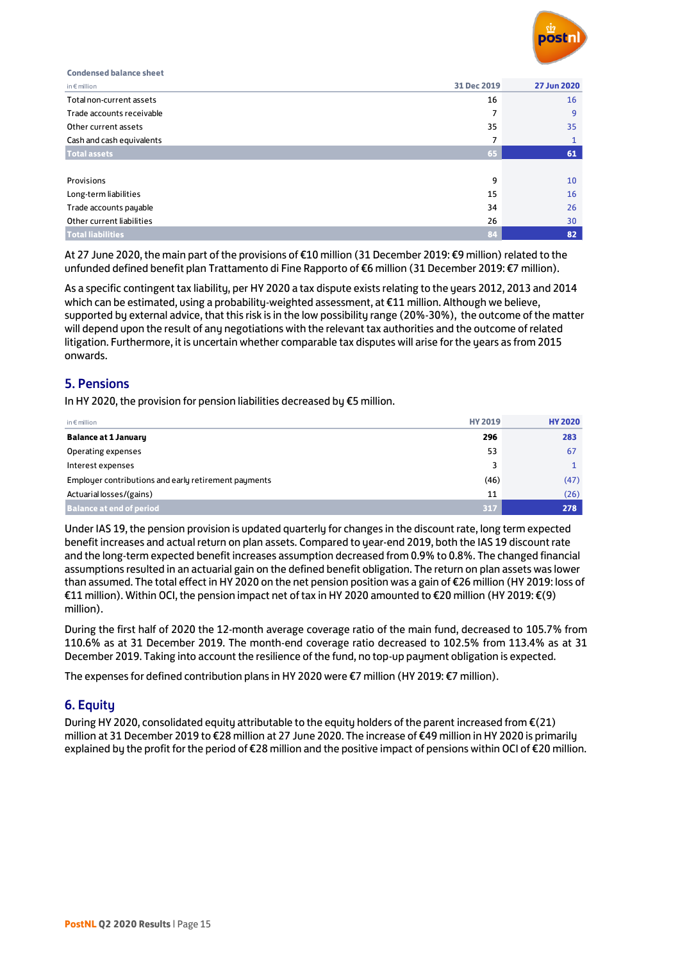

**Condensed balance sheet** in € million **31 Dec 2019 27 Jun 2020** Condensed balance sheet<br>in€million 31 Dec 2019 27 Jun 2020<br>Total non-current assets 16 16<br>Trade accounts receivable 7 9 Trade accounts receivable the control of the control of the control of the control of the control of the control of the control of the control of the control of the control of the control of the control of the control of t  $\frac{\ln 6 \text{ million}}{31 \text{ Dec } 2019}$  27 Jun 2020<br>
Total non-current assets 16<br>
Trade accounts receivable 2019<br>
Other current assets 35<br>
Cash and cash equivalents 2 Cash and cash equivalents **7** 1 **Total assets 65 61** Cash and cash equivalents **1986 of the USA of the USA of the USA of the USA of the USA of the USA of the USA of the USA of the USA of the USA of the USA of the USA of the USA of the USA of the USA of the USA of the USA of** Long-term liabilities 1 5 1 6 Trade accounts payable 3 4 2 6 Other current liabilities 2 6 3 0 **Total liabilities 84 82**

At 27 June 2020, the main part of the provisions of €10 million (31 December 2019: €9 million) related to the unfunded defined benefit plan Trattamento di Fine Rapporto of €6 million (31 December 2019: €7 million).

As a specific contingent tax liability, per HY 2020 a tax dispute exists relating to the years 2012, 2013 and 2014 which can be estimated, using a probability-weighted assessment, at €11 million. Although we believe, supported by external advice, that this risk is in the low possibility range (20%-30%), the outcome of the matter will depend upon the result of any negotiations with the relevant tax authorities and the outcome of related litigation. Furthermore, it is uncertain whether comparable tax disputes will arise for the years as from 2015 onwards.

### 5. Pensions

In HY 2020, the provision for pension liabilities decreased by €5 million.

| in $\epsilon$ million                                | <b>HY 2019</b> | <b>HY 2020</b> |
|------------------------------------------------------|----------------|----------------|
| <b>Balance at 1 Januaru</b>                          | 296            | 283            |
| Operating expenses                                   | 53             | 67             |
| Interest expenses                                    | 3              |                |
| Employer contributions and early retirement payments | (46)           | (47)           |
| Actuarial losses/(gains)                             | 11             | (26)           |
| <b>Balance at end of period</b>                      | .317           | 278            |

Under IAS 19, the pension provision is updated quarterly for changes in the discount rate, long term expected benefit increases and actual return on plan assets. Compared to year-end 2019, both the IAS 19 discount rate and the long-term expected benefit increases assumption decreased from 0.9% to 0.8%. The changed financial assumptions resulted in an actuarial gain on the defined benefit obligation. The return on plan assets was lower than assumed. The total effect in HY 2020 on the net pension position was a gain of €26 million (HY 2019: loss of €11 million). Within OCI, the pension impact net of tax in HY 2020 amounted to €20 million (HY 2019: €(9) million).

During the first half of 2020 the 12-month average coverage ratio of the main fund, decreased to 105.7% from 110.6% as at 31 December 2019. The month-end coverage ratio decreased to 102.5% from 113.4% as at 31 December 2019. Taking into account the resilience of the fund, no top-up payment obligation is expected.

The expenses for defined contribution plans in HY 2020 were €7 million (HY 2019: €7 million).

### 6. Equity

During HY 2020, consolidated equity attributable to the equity holders of the parent increased from €(21) million at 31 December 2019 to €28 million at 27 June 2020. The increase of €49 million in HY 2020 is primarily explained by the profit for the period of €28 million and the positive impact of pensions within OCI of €20 million.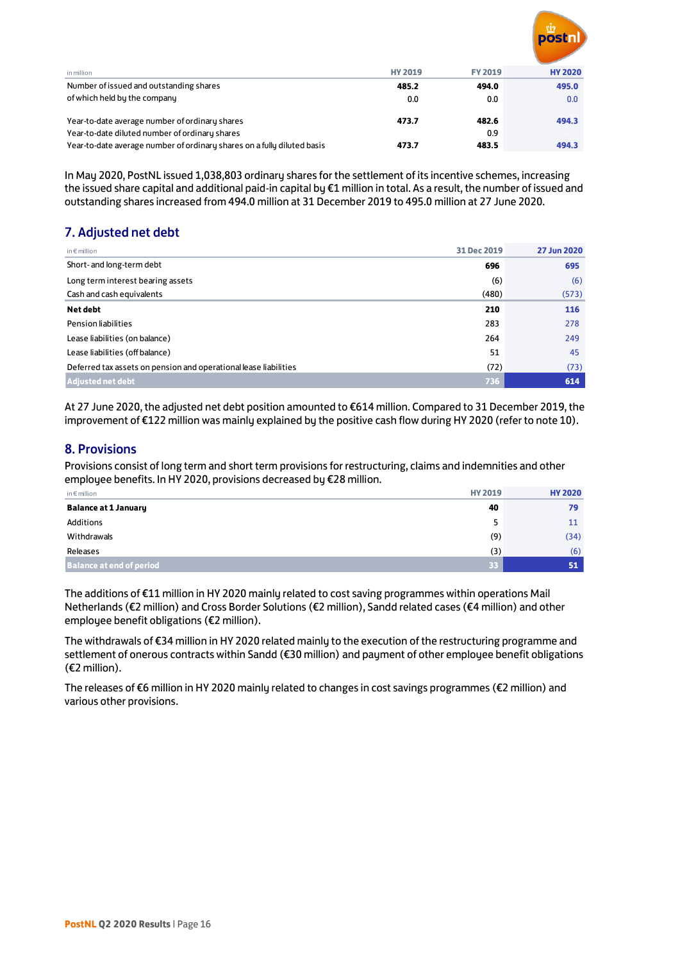

| in million                                                              | <b>HY 2019</b> | <b>FY 2019</b> | <b>HY 2020</b> |
|-------------------------------------------------------------------------|----------------|----------------|----------------|
| Number of issued and outstanding shares                                 | 485.2          | 494.0          | 495.0          |
| of which held by the company                                            | 0.0            | 0.0            | 0.0            |
|                                                                         |                |                |                |
| Year-to-date average number of ordinary shares                          | 473.7          | 482.6          | 494.3          |
| Year-to-date diluted number of ordinary shares                          |                | 0.9            |                |
| Year-to-date average number of ordinary shares on a fully diluted basis | 473.7          | 483.5          | 494.3          |

In May 2020, PostNL issued 1,038,803 ordinary shares for the settlement of its incentive schemes, increasing the issued share capital and additional paid-in capital by €1 million in total. As a result, the number of issued and outstanding shares increased from 494.0 million at 31 December 2019 to 495.0 million at 27 June 2020.

# 7. Adjusted net debt

| in $\epsilon$ million                                            | 31 Dec 2019 | 27 Jun 2020 |
|------------------------------------------------------------------|-------------|-------------|
| Short- and long-term debt                                        | 696         | 695         |
| Long term interest bearing assets                                | (6)         | (6)         |
| Cash and cash equivalents                                        | (480)       | (573)       |
| Net debt                                                         | 210         | 116         |
| Pension liabilities                                              | 283         | 278         |
| Lease liabilities (on balance)                                   | 264         | 249         |
| Lease liabilities (off balance)                                  | 51          | 45          |
| Deferred tax assets on pension and operational lease liabilities | (72)        | (73)        |
| <b>Adjusted net debt</b>                                         | 736         | 614         |

At 27 June 2020, the adjusted net debt position amounted to €614 million. Compared to 31 December 2019, the improvement of €122 million was mainly explained by the positive cash flow during HY 2020 (refer to note 10).

### 8. Provisions

Provisions consist of long term and short term provisions for restructuring, claims and indemnities and other employee benefits. In HY 2020, provisions decreased by €28 million.

| in $\epsilon$ million           | <b>HY 2019</b>  | <b>HY 2020</b> |
|---------------------------------|-----------------|----------------|
| <b>Balance at 1 January</b>     | 40              | 79             |
| Additions                       | 5               | 11             |
| Withdrawals                     | (9)             | (34)           |
| Releases                        | (3)             | (6)            |
| <b>Balance at end of period</b> | 33 <sup>°</sup> | 51             |

The additions of €11 million in HY 2020 mainly related to cost saving programmes within operations Mail Netherlands (€2 million) and Cross Border Solutions (€2 million), Sandd related cases (€4 million) and other employee benefit obligations (€2 million).

The withdrawals of €34 million in HY 2020 related mainly to the execution of the restructuring programme and settlement of onerous contracts within Sandd (€30 million) and payment of other employee benefit obligations (€2 million).

The releases of €6 million in HY 2020 mainly related to changes in cost savings programmes (€2 million) and various other provisions.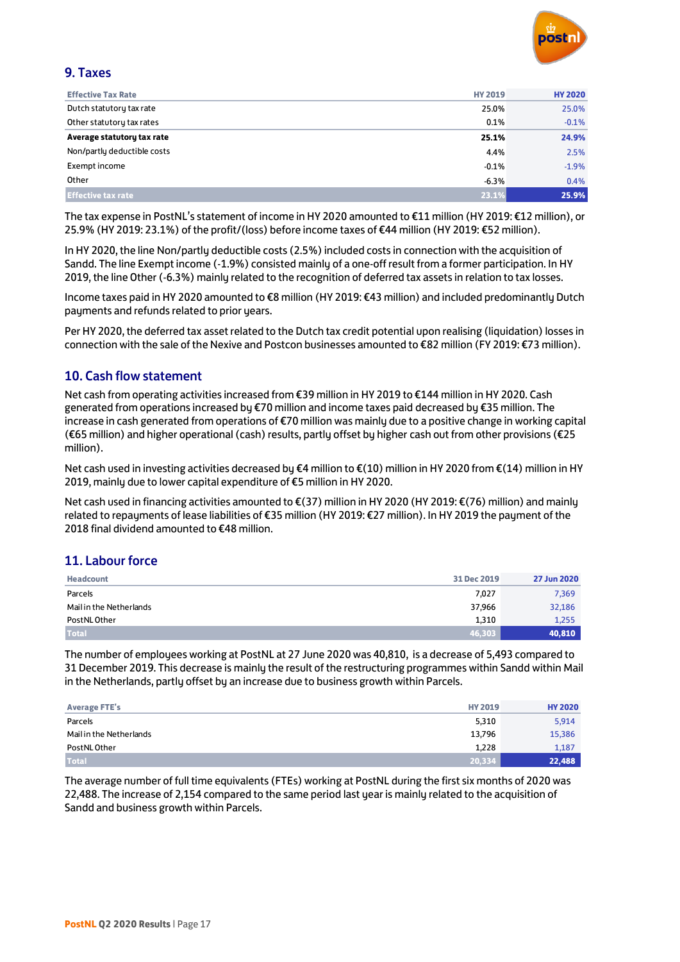

### 9. Taxes

| <b>Effective Tax Rate</b>   | <b>HY 2019</b> | <b>HY 2020</b> |
|-----------------------------|----------------|----------------|
| Dutch statutory tax rate    | 25.0%          | 25.0%          |
| Other statutory tax rates   | 0.1%           | $-0.1%$        |
| Average statutory tax rate  | 25.1%          | 24.9%          |
| Non/partly deductible costs | 4.4%           | 2.5%           |
| Exempt income               | $-0.1%$        | $-1.9%$        |
| Other                       | $-6.3%$        | 0.4%           |
| <b>Effective tax rate</b>   | 23.1%          | 25.9%          |

The tax expense in PostNL's statement of income in HY 2020 amounted to €11 million (HY 2019: €12 million), or 25.9% (HY 2019: 23.1%) of the profit/(loss) before income taxes of €44 million (HY 2019: €52 million).

In HY 2020, the line Non/partly deductible costs (2.5%) included costs in connection with the acquisition of Sandd. The line Exempt income (-1.9%) consisted mainly of a one-off result from a former participation. In HY 2019, the line Other (-6.3%) mainly related to the recognition of deferred tax assets in relation to tax losses.

Income taxes paid in HY 2020 amounted to €8 million (HY 2019: €43 million) and included predominantly Dutch payments and refunds related to prior years.

Per HY 2020, the deferred tax asset related to the Dutch tax credit potential upon realising (liquidation) losses in connection with the sale of the Nexive and Postcon businesses amounted to €82 million (FY 2019: €73 million).

### 10. Cash flow statement

Net cash from operating activities increased from €39 million in HY 2019 to €144 million in HY 2020. Cash generated from operations increased by €70 million and income taxes paid decreased by €35 million. The increase in cash generated from operations of €70 million was mainly due to a positive change in working capital (€65 million) and higher operational (cash) results, partly offset by higher cash out from other provisions (€25 million).

Net cash used in investing activities decreased by €4 million to €(10) million in HY 2020 from €(14) million in HY 2019, mainly due to lower capital expenditure of €5 million in HY 2020.

Net cash used in financing activities amounted to €(37) million in HY 2020 (HY 2019: €(76) million) and mainly related to repayments of lease liabilities of €35 million (HY 2019: €27 million). In HY 2019 the payment of the 2018 final dividend amounted to €48 million.

### 11. Labour force

| <b>Headcount</b>        | 31 Dec 2019 | 27 Jun 2020 |
|-------------------------|-------------|-------------|
| Parcels                 | 7,027       | 7,369       |
| Mail in the Netherlands | 37,966      | 32,186      |
| PostNL Other            | 1.310       | 1,255       |
| <b>Total</b>            | 46,303      | 40,810      |

The number of employees working at PostNL at 27 June 2020 was 40,810, is a decrease of 5,493 compared to 31 December 2019. This decrease is mainly the result of the restructuring programmes within Sandd within Mail in the Netherlands, partly offset by an increase due to business growth within Parcels.

| <b>Average FTE's</b>    | <b>HY 2019</b> | <b>HY 2020</b> |
|-------------------------|----------------|----------------|
| Parcels                 | 5,310          | 5,914          |
| Mail in the Netherlands | 13,796         | 15,386         |
| PostNL Other            | 1,228          | 1,187          |
| <b>Total</b>            | 20.334         | 22,488         |

The average number of full time equivalents (FTEs) working at PostNL during the first six months of 2020 was 22,488. The increase of 2,154 compared to the same period last year is mainly related to the acquisition of Sandd and business growth within Parcels.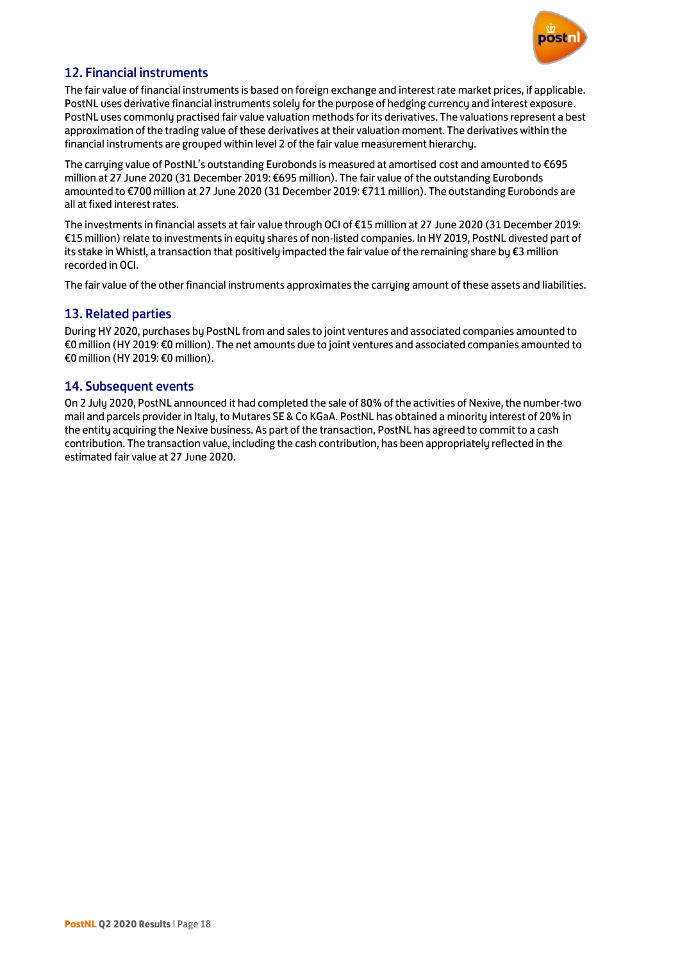

### 12. Financial instruments

The fair value of financial instruments is based on foreign exchange and interest rate market prices, if applicable. PostNL uses derivative financial instruments solely for the purpose of hedging currency and interest exposure. PostNL uses commonly practised fair value valuation methods for its derivatives. The valuations represent a best approximation of the trading value of these derivatives at their valuation moment. The derivatives within the financial instruments are grouped within level 2 of the fair value measurement hierarchy.

The carrying value of PostNL's outstanding Eurobonds is measured at amortised cost and amounted to €695 million at 27 June 2020 (31 December 2019: €695 million). The fair value of the outstanding Eurobonds amounted to €700 million at 27 June 2020 (31 December 2019: €711 million). The outstanding Eurobonds are all at fixed interest rates.

The investments in financial assets at fair value through OCI of €15 million at 27 June 2020 (31 December 2019: €15 million) relate to investments in equity shares of non-listed companies. In HY 2019, PostNL divested part of its stake in Whistl, a transaction that positively impacted the fair value of the remaining share by €3 million recorded in OCI.

The fair value of the other financial instruments approximates the carrying amount of these assets and liabilities.

### 13. Related parties

During HY 2020, purchases by PostNL from and sales to joint ventures and associated companies amounted to €0 million (HY 2019: €0 million). The net amounts due to joint ventures and associated companies amounted to €0 million (HY 2019: €0 million).

### 14. Subsequent events

On 2 July 2020, PostNL announced it had completed the sale of 80% of the activities of Nexive, the number-two mail and parcels provider in Italy, to Mutares SE & Co KGaA. PostNL has obtained a minority interest of 20% in the entity acquiring the Nexive business. As part of the transaction, PostNL has agreed to commit to a cash contribution. The transaction value, including the cash contribution, has been appropriately reflected in the estimated fair value at 27 June 2020.